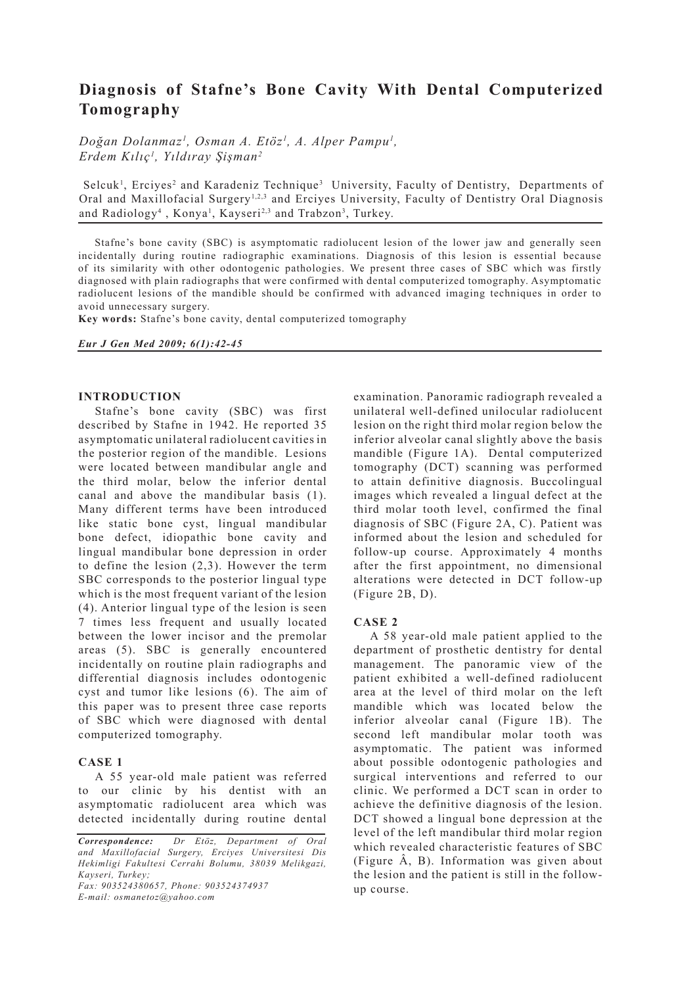# **Diagnosis of Stafne's Bone Cavity With Dental Computerized Tomography**

*Doğan Dolanmaz1 , Osman A. Etöz1 , A. Alper Pampu1 , Erdem Kılıç1 , Yıldıray Şişman2*

Selcuk<sup>1</sup>, Erciyes<sup>2</sup> and Karadeniz Technique<sup>3</sup> University, Faculty of Dentistry, Departments of Oral and Maxillofacial Surgery<sup>1,2,3</sup> and Erciyes University, Faculty of Dentistry Oral Diagnosis and Radiology<sup>4</sup>, Konya<sup>1</sup>, Kayseri<sup>2,3</sup> and Trabzon<sup>3</sup>, Turkey.

Stafne's bone cavity (SBC) is asymptomatic radiolucent lesion of the lower jaw and generally seen incidentally during routine radiographic examinations. Diagnosis of this lesion is essential because of its similarity with other odontogenic pathologies. We present three cases of SBC which was firstly diagnosed with plain radiographs that were confirmed with dental computerized tomography. Asymptomatic radiolucent lesions of the mandible should be confirmed with advanced imaging techniques in order to avoid unnecessary surgery.

**Key words:** Stafne's bone cavity, dental computerized tomography

## *Eur J Gen Med 2009; 6(1):42-45*

## **INTRODUCTION**

Stafne's bone cavity (SBC) was first described by Stafne in 1942. He reported 35 asymptomatic unilateral radiolucent cavities in the posterior region of the mandible. Lesions were located between mandibular angle and the third molar, below the inferior dental canal and above the mandibular basis (1). Many different terms have been introduced like static bone cyst, lingual mandibular bone defect, idiopathic bone cavity and lingual mandibular bone depression in order to define the lesion (2,3). However the term SBC corresponds to the posterior lingual type which is the most frequent variant of the lesion (4). Anterior lingual type of the lesion is seen 7 times less frequent and usually located between the lower incisor and the premolar areas (5). SBC is generally encountered incidentally on routine plain radiographs and differential diagnosis includes odontogenic cyst and tumor like lesions (6). The aim of this paper was to present three case reports of SBC which were diagnosed with dental computerized tomography.

# **CASE 1**

A 55 year-old male patient was referred to our clinic by his dentist with an asymptomatic radiolucent area which was detected incidentally during routine dental

*Fax: 903524380657, Phone: 903524374937 E-mail: osmanetoz@yahoo.com*

examination. Panoramic radiograph revealed a unilateral well-defined unilocular radiolucent lesion on the right third molar region below the inferior alveolar canal slightly above the basis mandible (Figure 1A). Dental computerized tomography (DCT) scanning was performed to attain definitive diagnosis. Buccolingual images which revealed a lingual defect at the third molar tooth level, confirmed the final diagnosis of SBC (Figure 2A, C). Patient was informed about the lesion and scheduled for follow-up course. Approximately 4 months after the first appointment, no dimensional alterations were detected in DCT follow-up (Figure 2B, D).

# **CASE 2**

A 58 year-old male patient applied to the department of prosthetic dentistry for dental management. The panoramic view of the patient exhibited a well-defined radiolucent area at the level of third molar on the left mandible which was located below the inferior alveolar canal (Figure 1B). The second left mandibular molar tooth was asymptomatic. The patient was informed about possible odontogenic pathologies and surgical interventions and referred to our clinic. We performed a DCT scan in order to achieve the definitive diagnosis of the lesion. DCT showed a lingual bone depression at the level of the left mandibular third molar region which revealed characteristic features of SBC (Figure Â, B). Information was given about the lesion and the patient is still in the followup course.

*Correspondence: Dr Etöz, Department of Oral and Maxillofacial Surgery, Erciyes Universitesi Dis Hekimligi Fakultesi Cerrahi Bolumu, 38039 Melikgazi, Kayseri, Turkey;*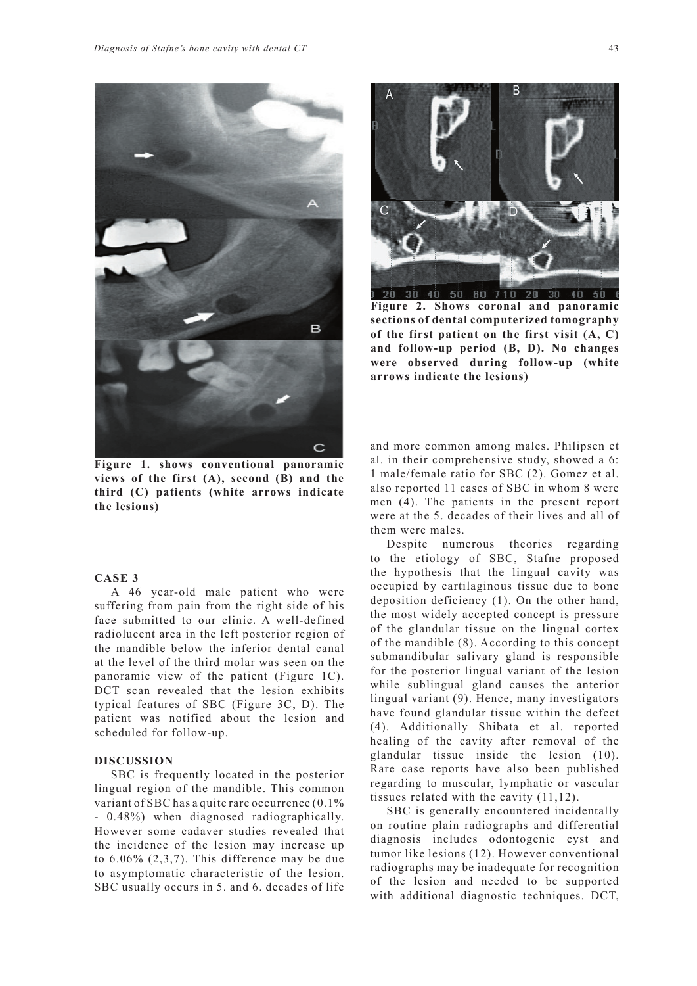

**Figure 1. shows conventional panoramic views of the first (A), second (B) and the third (C) patients (white arrows indicate the lesions)**

## **CASE 3**

A 46 year-old male patient who were suffering from pain from the right side of his face submitted to our clinic. A well-defined radiolucent area in the left posterior region of the mandible below the inferior dental canal at the level of the third molar was seen on the panoramic view of the patient (Figure 1C). DCT scan revealed that the lesion exhibits typical features of SBC (Figure 3C, D). The patient was notified about the lesion and scheduled for follow-up.

# **DISCUSSION**

SBC is frequently located in the posterior lingual region of the mandible. This common variant of SBC has a quite rare occurrence (0.1% - 0.48%) when diagnosed radiographically. However some cadaver studies revealed that the incidence of the lesion may increase up to 6.06% (2,3,7). This difference may be due to asymptomatic characteristic of the lesion. SBC usually occurs in 5. and 6. decades of life



**Figure 2. Shows coronal and panoramic sections of dental computerized tomography of the first patient on the first visit (A, C) and follow-up period (B, D). No changes were observed during follow-up (white arrows indicate the lesions)**

and more common among males. Philipsen et al. in their comprehensive study, showed a 6: 1 male/female ratio for SBC (2). Gomez et al. also reported 11 cases of SBC in whom 8 were men (4). The patients in the present report were at the 5. decades of their lives and all of them were males.

Despite numerous theories regarding to the etiology of SBC, Stafne proposed the hypothesis that the lingual cavity was occupied by cartilaginous tissue due to bone deposition deficiency (1). On the other hand, the most widely accepted concept is pressure of the glandular tissue on the lingual cortex of the mandible (8). According to this concept submandibular salivary gland is responsible for the posterior lingual variant of the lesion while sublingual gland causes the anterior lingual variant (9). Hence, many investigators have found glandular tissue within the defect (4). Additionally Shibata et al. reported healing of the cavity after removal of the glandular tissue inside the lesion (10). Rare case reports have also been published regarding to muscular, lymphatic or vascular tissues related with the cavity (11,12).

SBC is generally encountered incidentally on routine plain radiographs and differential diagnosis includes odontogenic cyst and tumor like lesions (12). However conventional radiographs may be inadequate for recognition of the lesion and needed to be supported with additional diagnostic techniques. DCT,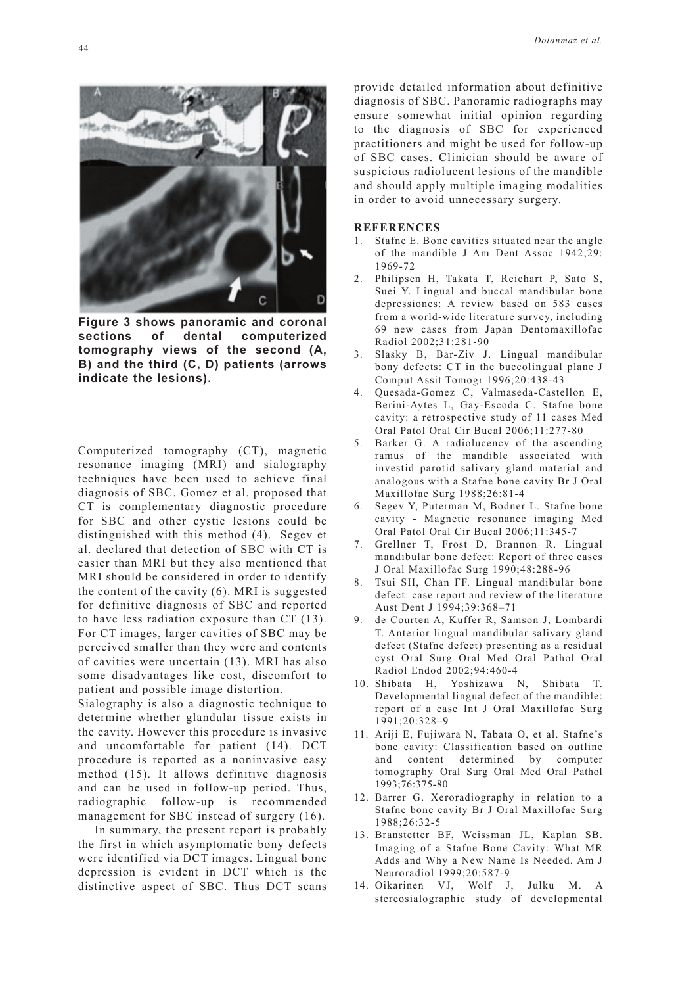

**Figure 3 shows panoramic and coronal sections of dental computerized tomography views of the second (A, B) and the third (C, D) patients (arrows indicate the lesions).** 

Computerized tomography (CT), magnetic resonance imaging (MRI) and sialography techniques have been used to achieve final diagnosis of SBC. Gomez et al. proposed that CT is complementary diagnostic procedure for SBC and other cystic lesions could be distinguished with this method (4). Segev et al. declared that detection of SBC with CT is easier than MRI but they also mentioned that MRI should be considered in order to identify the content of the cavity (6). MRI is suggested for definitive diagnosis of SBC and reported to have less radiation exposure than CT (13). For CT images, larger cavities of SBC may be perceived smaller than they were and contents of cavities were uncertain (13). MRI has also some disadvantages like cost, discomfort to patient and possible image distortion.

Sialography is also a diagnostic technique to determine whether glandular tissue exists in the cavity. However this procedure is invasive and uncomfortable for patient (14). DCT procedure is reported as a noninvasive easy method (15). It allows definitive diagnosis and can be used in follow-up period. Thus, radiographic follow-up is recommended management for SBC instead of surgery (16).

In summary, the present report is probably the first in which asymptomatic bony defects were identified via DCT images. Lingual bone depression is evident in DCT which is the distinctive aspect of SBC. Thus DCT scans

provide detailed information about definitive diagnosis of SBC. Panoramic radiographs may ensure somewhat initial opinion regarding to the diagnosis of SBC for experienced practitioners and might be used for follow-up of SBC cases. Clinician should be aware of suspicious radiolucent lesions of the mandible and should apply multiple imaging modalities in order to avoid unnecessary surgery.

## **REFERENCES**

- 1. Stafne E. Bone cavities situated near the angle of the mandible J Am Dent Assoc 1942;29: 1969-72
- 2. Philipsen H, Takata T, Reichart P, Sato S, Suei Y. Lingual and buccal mandibular bone depressiones: A review based on 583 cases from a world-wide literature survey, including 69 new cases from Japan Dentomaxillofac Radiol 2002;31:281-90
- 3. Slasky B, Bar-Ziv J. Lingual mandibular bony defects: CT in the buccolingual plane J Comput Assit Tomogr 1996;20:438-43
- 4. Quesada-Gomez C, Valmaseda-Castellon E, Berini-Aytes L, Gay-Escoda C. Stafne bone cavity: a retrospective study of 11 cases Med Oral Patol Oral Cir Bucal 2006;11:277-80
- Barker G. A radiolucency of the ascending ramus of the mandible associated with investid parotid salivary gland material and analogous with a Stafne bone cavity Br J Oral Maxillofac Surg 1988;26:81-4
- 6. Segev Y, Puterman M, Bodner L. Stafne bone cavity - Magnetic resonance imaging Med Oral Patol Oral Cir Bucal 2006;11:345-7
- 7. Grellner T, Frost D, Brannon R. Lingual mandibular bone defect: Report of three cases J Oral Maxillofac Surg 1990;48:288-96
- 8. Tsui SH, Chan FF. Lingual mandibular bone defect: case report and review of the literature Aust Dent J 1994;39:368–71
- 9. de Courten A, Kuffer R, Samson J, Lombardi T. Anterior lingual mandibular salivary gland defect (Stafne defect) presenting as a residual cyst Oral Surg Oral Med Oral Pathol Oral Radiol Endod 2002;94:460-4
- 10. Shibata H, Yoshizawa N, Shibata Developmental lingual defect of the mandible: report of a case Int J Oral Maxillofac Surg 1991;20:328–9
- 11. Ariji E, Fujiwara N, Tabata O, et al. Stafne's bone cavity: Classification based on outline and content determined by computer tomography Oral Surg Oral Med Oral Pathol 1993;76:375-80
- 12. Barrer G. Xeroradiography in relation to a Stafne bone cavity Br J Oral Maxillofac Surg 1988;26:32-5
- 13. Branstetter BF, Weissman JL, Kaplan SB. Imaging of a Stafne Bone Cavity: What MR Adds and Why a New Name Is Needed. Am J Neuroradiol 1999;20:587-9
- 14. Oikarinen VJ, Wolf J, Julku M. A stereosialographic study of developmental